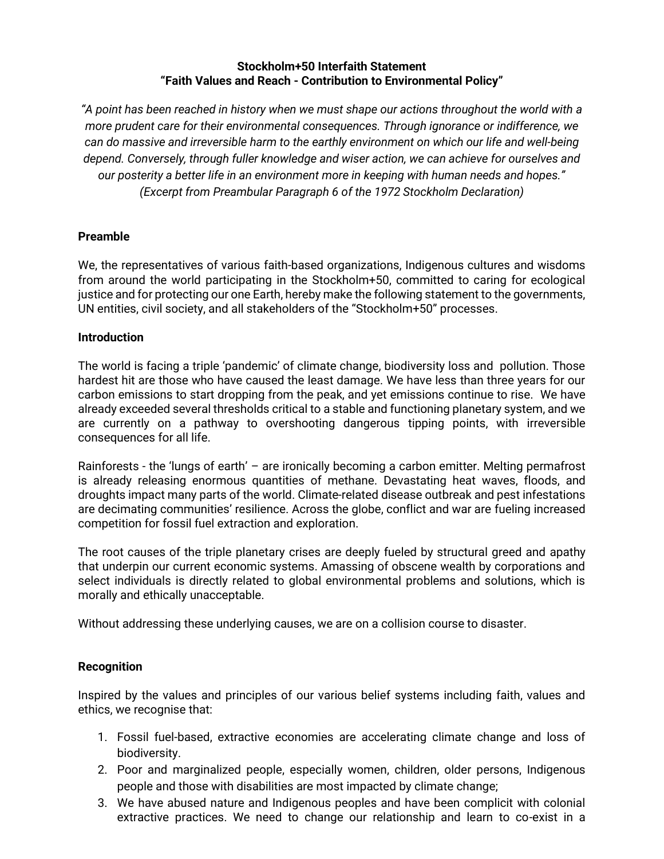#### **Stockholm+50 Interfaith Statement "Faith Values and Reach - Contribution to Environmental Policy"**

"A point has been reached in history when we must shape our actions throughout the world with a *more prudent care for their environmental consequences. Through ignorance or indifference, we can do massive and irreversible harm to the earthly environment on which our life and well-being depend. Conversely, through fuller knowledge and wiser action, we can achieve for ourselves and our posterity a better life in an environment more in keeping with human needs and hopes." (Excerpt from Preambular Paragraph 6 of the 1972 Stockholm Declaration)*

### **Preamble**

We, the representatives of various faith-based organizations, Indigenous cultures and wisdoms from around the world participating in the Stockholm+50, committed to caring for ecological justice and for protecting our one Earth, hereby make the following statement to the governments, UN entities, civil society, and all stakeholders of the "Stockholm+50" processes.

### **Introduction**

The world is facing a triple 'pandemic' of climate change, biodiversity loss and pollution. Those hardest hit are those who have caused the least damage. We have less than three years for our carbon emissions to start dropping from the peak, and yet emissions continue to rise. We have already exceeded several thresholds critical to a stable and functioning planetary system, and we are currently on a pathway to overshooting dangerous tipping points, with irreversible consequences for all life.

Rainforests - the 'lungs of earth' – are ironically becoming a carbon emitter. Melting permafrost is already releasing enormous quantities of methane. Devastating heat waves, floods, and droughts impact many parts of the world. Climate-related disease outbreak and pest infestations are decimating communities' resilience. Across the globe, conflict and war are fueling increased competition for fossil fuel extraction and exploration.

The root causes of the triple planetary crises are deeply fueled by structural greed and apathy that underpin our current economic systems. Amassing of obscene wealth by corporations and select individuals is directly related to global environmental problems and solutions, which is morally and ethically unacceptable.

Without addressing these underlying causes, we are on a collision course to disaster.

### **Recognition**

Inspired by the values and principles of our various belief systems including faith, values and ethics, we recognise that:

- 1. Fossil fuel-based, extractive economies are accelerating climate change and loss of biodiversity.
- 2. Poor and marginalized people, especially women, children, older persons, Indigenous people and those with disabilities are most impacted by climate change;
- 3. We have abused nature and Indigenous peoples and have been complicit with colonial extractive practices. We need to change our relationship and learn to co-exist in a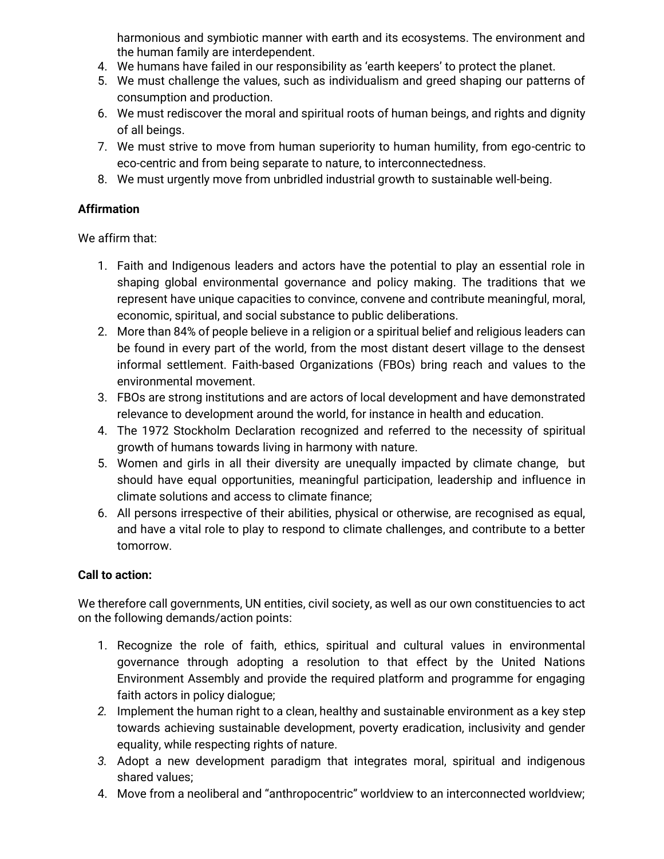harmonious and symbiotic manner with earth and its ecosystems. The environment and the human family are interdependent.

- 4. We humans have failed in our responsibility as 'earth keepers' to protect the planet.
- 5. We must challenge the values, such as individualism and greed shaping our patterns of consumption and production.
- 6. We must rediscover the moral and spiritual roots of human beings, and rights and dignity of all beings.
- 7. We must strive to move from human superiority to human humility, from ego-centric to eco-centric and from being separate to nature, to interconnectedness.
- 8. We must urgently move from unbridled industrial growth to sustainable well-being.

# **Affirmation**

We affirm that:

- 1. Faith and Indigenous leaders and actors have the potential to play an essential role in shaping global environmental governance and policy making. The traditions that we represent have unique capacities to convince, convene and contribute meaningful, moral, economic, spiritual, and social substance to public deliberations.
- 2. More than 84% of people believe in a religion or a spiritual belief and religious leaders can be found in every part of the world, from the most distant desert village to the densest informal settlement. Faith-based Organizations (FBOs) bring reach and values to the environmental movement.
- 3. FBOs are strong institutions and are actors of local development and have demonstrated relevance to development around the world, for instance in health and education.
- 4. The 1972 Stockholm Declaration recognized and referred to the necessity of spiritual growth of humans towards living in harmony with nature.
- 5. Women and girls in all their diversity are unequally impacted by climate change, but should have equal opportunities, meaningful participation, leadership and influence in climate solutions and access to climate finance;
- 6. All persons irrespective of their abilities, physical or otherwise, are recognised as equal, and have a vital role to play to respond to climate challenges, and contribute to a better tomorrow.

## **Call to action:**

We therefore call governments, UN entities, civil society, as well as our own constituencies to act on the following demands/action points:

- 1. Recognize the role of faith, ethics, spiritual and cultural values in environmental governance through adopting a resolution to that effect by the United Nations Environment Assembly and provide the required platform and programme for engaging faith actors in policy dialogue;
- *2.* Implement the human right to a clean, healthy and sustainable environment as a key step towards achieving sustainable development, poverty eradication, inclusivity and gender equality, while respecting rights of nature.
- *3.* Adopt a new development paradigm that integrates moral, spiritual and indigenous shared values;
- 4. Move from a neoliberal and "anthropocentric" worldview to an interconnected worldview;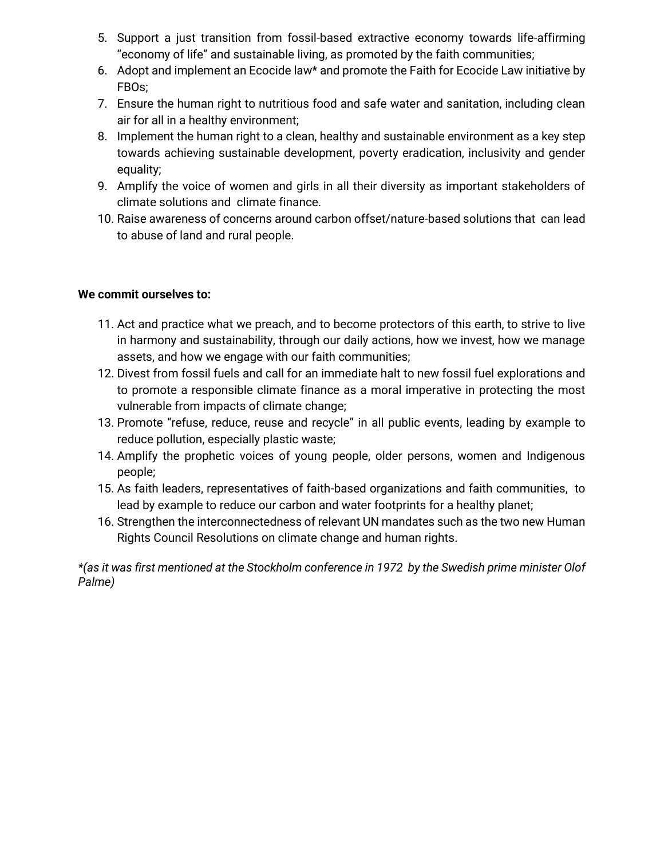- 5. Support a just transition from fossil-based extractive economy towards life-affirming "economy of life" and sustainable living, as promoted by the faith communities;
- 6. Adopt and implement an Ecocide law\* and promote the Faith for Ecocide Law initiative by FBOs;
- 7. Ensure the human right to nutritious food and safe water and sanitation, including clean air for all in a healthy environment;
- 8. Implement the human right to a clean, healthy and sustainable environment as a key step towards achieving sustainable development, poverty eradication, inclusivity and gender equality;
- 9. Amplify the voice of women and girls in all their diversity as important stakeholders of climate solutions and climate finance.
- 10. Raise awareness of concerns around carbon offset/nature-based solutions that can lead to abuse of land and rural people.

### **We commit ourselves to:**

- 11. Act and practice what we preach, and to become protectors of this earth, to strive to live in harmony and sustainability, through our daily actions, how we invest, how we manage assets, and how we engage with our faith communities;
- 12. Divest from fossil fuels and call for an immediate halt to new fossil fuel explorations and to promote a responsible climate finance as a moral imperative in protecting the most vulnerable from impacts of climate change;
- 13. Promote "refuse, reduce, reuse and recycle" in all public events, leading by example to reduce pollution, especially plastic waste;
- 14. Amplify the prophetic voices of young people, older persons, women and Indigenous people;
- 15. As faith leaders, representatives of faith-based organizations and faith communities, to lead by example to reduce our carbon and water footprints for a healthy planet;
- 16. Strengthen the interconnectedness of relevant UN mandates such as the two new Human Rights Council Resolutions on climate change and human rights.

*\*(as it was first mentioned at the Stockholm conference in 1972 by the Swedish prime minister Olof Palme)*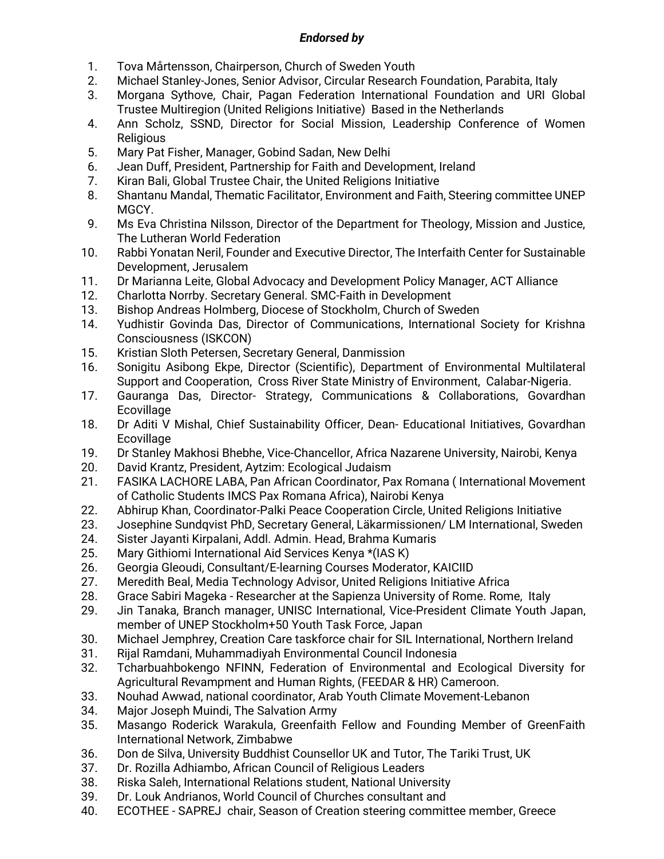## *Endorsed by*

- 1. Tova Mårtensson, Chairperson, Church of Sweden Youth
- 2. Michael Stanley-Jones, Senior Advisor, Circular Research Foundation, Parabita, Italy
- 3. Morgana Sythove, Chair, Pagan Federation International Foundation and URI Global Trustee Multiregion (United Religions Initiative) Based in the Netherlands
- 4. Ann Scholz, SSND, Director for Social Mission, Leadership Conference of Women Religious
- 5. Mary Pat Fisher, Manager, Gobind Sadan, New Delhi
- 6. Jean Duff, President, Partnership for Faith and Development, Ireland
- 7. Kiran Bali, Global Trustee Chair, the United Religions Initiative
- 8. Shantanu Mandal, Thematic Facilitator, Environment and Faith, Steering committee UNEP MGCY.
- 9. Ms Eva Christina Nilsson, Director of the Department for Theology, Mission and Justice, The Lutheran World Federation
- 10. Rabbi Yonatan Neril, Founder and Executive Director, The Interfaith Center for Sustainable Development, Jerusalem
- 11. Dr Marianna Leite, Global Advocacy and Development Policy Manager, ACT Alliance
- 12. Charlotta Norrby. Secretary General. SMC-Faith in Development
- 13. Bishop Andreas Holmberg, Diocese of Stockholm, Church of Sweden
- 14. Yudhistir Govinda Das, Director of Communications, International Society for Krishna Consciousness (ISKCON)
- 15. Kristian Sloth Petersen, Secretary General, Danmission
- 16. Sonigitu Asibong Ekpe, Director (Scientific), Department of Environmental Multilateral Support and Cooperation, Cross River State Ministry of Environment, Calabar-Nigeria.
- 17. Gauranga Das, Director- Strategy, Communications & Collaborations, Govardhan **Ecovillage**
- 18. Dr Aditi V Mishal, Chief Sustainability Officer, Dean- Educational Initiatives, Govardhan **Ecovillage**
- 19. Dr Stanley Makhosi Bhebhe, Vice-Chancellor, Africa Nazarene University, Nairobi, Kenya
- 20. David Krantz, President, Aytzim: Ecological Judaism
- 21. FASIKA LACHORE LABA, Pan African Coordinator, Pax Romana ( International Movement of Catholic Students IMCS Pax Romana Africa), Nairobi Kenya
- 22. Abhirup Khan, Coordinator-Palki Peace Cooperation Circle, United Religions Initiative
- 23. Josephine Sundqvist PhD, Secretary General, Läkarmissionen/ LM International, Sweden
- 24. Sister Jayanti Kirpalani, Addl. Admin. Head, Brahma Kumaris
- 25. Mary Githiomi International Aid Services Kenya \*(IAS K)
- 26. Georgia Gleoudi, Consultant/E-learning Courses Moderator, KAICIID
- 27. Meredith Beal, Media Technology Advisor, United Religions Initiative Africa
- 28. Grace Sabiri Mageka Researcher at the Sapienza University of Rome. Rome, Italy
- 29. Jin Tanaka, Branch manager, UNISC International, Vice-President Climate Youth Japan, member of UNEP Stockholm+50 Youth Task Force, Japan
- 30. Michael Jemphrey, Creation Care taskforce chair for SIL International, Northern Ireland
- 31. Rijal Ramdani, Muhammadiyah Environmental Council Indonesia
- 32. Tcharbuahbokengo NFINN, Federation of Environmental and Ecological Diversity for Agricultural Revampment and Human Rights, (FEEDAR & HR) Cameroon.
- 33. Nouhad Awwad, national coordinator, Arab Youth Climate Movement-Lebanon
- 34. Major Joseph Muindi, The Salvation Army
- 35. Masango Roderick Warakula, Greenfaith Fellow and Founding Member of GreenFaith International Network, Zimbabwe
- 36. Don de Silva, University Buddhist Counsellor UK and Tutor, The Tariki Trust, UK
- 37. Dr. Rozilla Adhiambo, African Council of Religious Leaders
- 38. Riska Saleh, International Relations student, National University
- 39. Dr. Louk Andrianos, World Council of Churches consultant and
- 40. ECOTHEE SAPREJ chair, Season of Creation steering committee member, Greece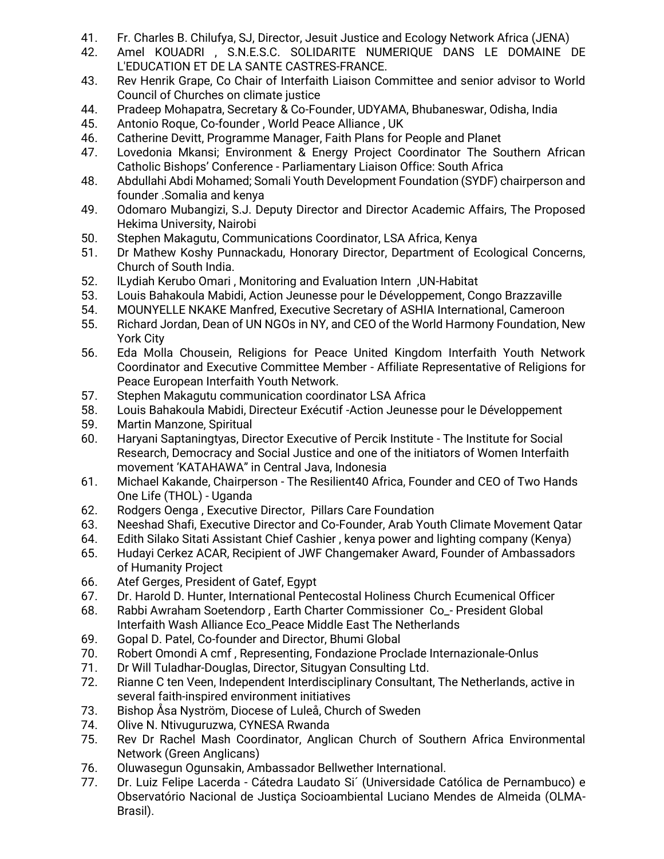- 41. Fr. Charles B. Chilufya, SJ, Director, Jesuit Justice and Ecology Network Africa (JENA)
- 42. Amel KOUADRI , S.N.E.S.C. SOLIDARITE NUMERIQUE DANS LE DOMAINE DE L'EDUCATION ET DE LA SANTE CASTRES-FRANCE.
- 43. Rev Henrik Grape, Co Chair of Interfaith Liaison Committee and senior advisor to World Council of Churches on climate justice
- 44. Pradeep Mohapatra, Secretary & Co-Founder, UDYAMA, Bhubaneswar, Odisha, India
- 45. Antonio Roque, Co-founder , World Peace Alliance , UK
- 46. Catherine Devitt, Programme Manager, Faith Plans for People and Planet
- 47. Lovedonia Mkansi; Environment & Energy Project Coordinator The Southern African Catholic Bishops' Conference - Parliamentary Liaison Office: South Africa
- 48. Abdullahi Abdi Mohamed; Somali Youth Development Foundation (SYDF) chairperson and founder .Somalia and kenya
- 49. Odomaro Mubangizi, S.J. Deputy Director and Director Academic Affairs, The Proposed Hekima University, Nairobi
- 50. Stephen Makagutu, Communications Coordinator, LSA Africa, Kenya
- 51. Dr Mathew Koshy Punnackadu, Honorary Director, Department of Ecological Concerns, Church of South India.
- 52. lLydiah Kerubo Omari , Monitoring and Evaluation Intern ,UN-Habitat
- 53. Louis Bahakoula Mabidi, Action Jeunesse pour le Développement, Congo Brazzaville
- 54. MOUNYELLE NKAKE Manfred, Executive Secretary of ASHIA International, Cameroon
- 55. Richard Jordan, Dean of UN NGOs in NY, and CEO of the World Harmony Foundation, New York City
- 56. Eda Molla Chousein, Religions for Peace United Kingdom Interfaith Youth Network Coordinator and Executive Committee Member - Affiliate Representative of Religions for Peace European Interfaith Youth Network.
- 57. Stephen Makagutu communication coordinator LSA Africa
- 58. Louis Bahakoula Mabidi, Directeur Exécutif -Action Jeunesse pour le Développement
- 59. Martin Manzone, Spiritual
- 60. Haryani Saptaningtyas, Director Executive of Percik Institute The Institute for Social Research, Democracy and Social Justice and one of the initiators of Women Interfaith movement 'KATAHAWA" in Central Java, Indonesia
- 61. Michael Kakande, Chairperson The Resilient40 Africa, Founder and CEO of Two Hands One Life (THOL) - Uganda
- 62. Rodgers Oenga , Executive Director, Pillars Care Foundation
- 63. Neeshad Shafi, Executive Director and Co-Founder, Arab Youth Climate Movement Qatar
- 64. Edith Silako Sitati Assistant Chief Cashier , kenya power and lighting company (Kenya)
- 65. Hudayi Cerkez ACAR, Recipient of JWF Changemaker Award, Founder of Ambassadors of Humanity Project
- 66. Atef Gerges, President of Gatef, Egypt
- 67. Dr. Harold D. Hunter, International Pentecostal Holiness Church Ecumenical Officer
- 68. Rabbi Awraham Soetendorp , Earth Charter Commissioner Co\_- President Global Interfaith Wash Alliance Eco\_Peace Middle East The Netherlands
- 69. Gopal D. Patel, Co-founder and Director, Bhumi Global
- 70. Robert Omondi A cmf , Representing, Fondazione Proclade Internazionale-Onlus
- 71. Dr Will Tuladhar-Douglas, Director, Situgyan Consulting Ltd.
- 72. Rianne C ten Veen, Independent Interdisciplinary Consultant, The Netherlands, active in several faith-inspired environment initiatives
- 73. Bishop Åsa Nyström, Diocese of Luleå, Church of Sweden
- 74. Olive N. Ntivuguruzwa, CYNESA Rwanda
- 75. Rev Dr Rachel Mash Coordinator, Anglican Church of Southern Africa Environmental Network (Green Anglicans)
- 76. Oluwasegun Ogunsakin, Ambassador Bellwether International.
- 77. Dr. Luiz Felipe Lacerda Cátedra Laudato Si´ (Universidade Católica de Pernambuco) e Observatório Nacional de Justiça Socioambiental Luciano Mendes de Almeida (OLMA-Brasil).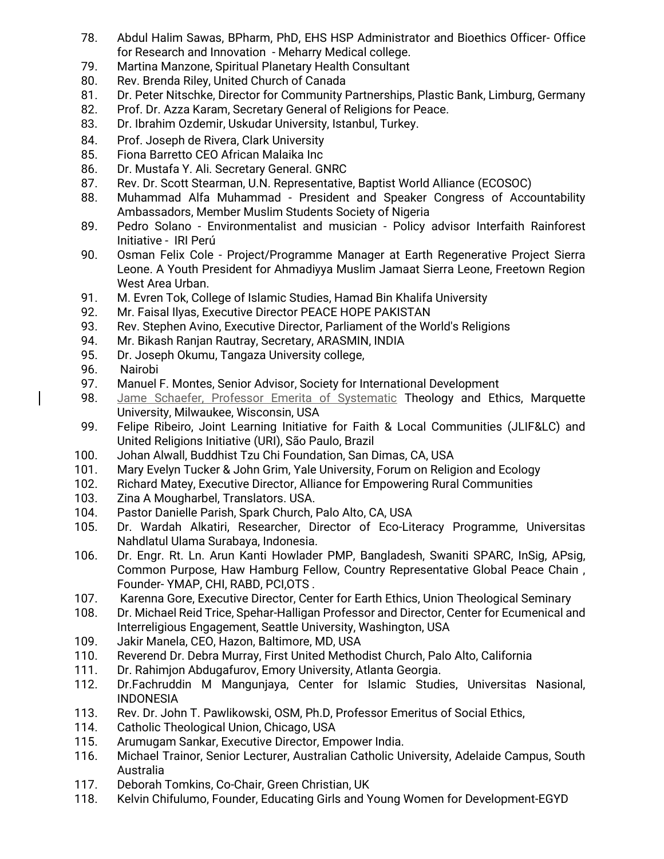- 78. Abdul Halim Sawas, BPharm, PhD, EHS HSP Administrator and Bioethics Officer- Office for Research and Innovation - Meharry Medical college.
- 79. Martina Manzone, Spiritual Planetary Health Consultant
- 80. Rev. Brenda Riley, United Church of Canada
- 81. Dr. Peter Nitschke, Director for Community Partnerships, Plastic Bank, Limburg, Germany
- 82. Prof. Dr. Azza Karam, Secretary General of Religions for Peace.
- 83. Dr. Ibrahim Ozdemir, Uskudar University, Istanbul, Turkey.
- 84. Prof. Joseph de Rivera, Clark University
- 85. Fiona Barretto CEO African Malaika Inc
- 86. Dr. Mustafa Y. Ali. Secretary General. GNRC
- 87. Rev. Dr. Scott Stearman, U.N. Representative, Baptist World Alliance (ECOSOC)
- 88. Muhammad Alfa Muhammad President and Speaker Congress of Accountability Ambassadors, Member Muslim Students Society of Nigeria
- 89. Pedro Solano Environmentalist and musician Policy advisor Interfaith Rainforest Initiative - IRI Perú
- 90. Osman Felix Cole Project/Programme Manager at Earth Regenerative Project Sierra Leone. A Youth President for Ahmadiyya Muslim Jamaat Sierra Leone, Freetown Region West Area Urban.
- 91. M. Evren Tok, College of Islamic Studies, Hamad Bin Khalifa University
- 92. Mr. Faisal Ilyas, Executive Director PEACE HOPE PAKISTAN
- 93. Rev. Stephen Avino, Executive Director, Parliament of the World's Religions
- 94. Mr. Bikash Ranjan Rautray, Secretary, ARASMIN, INDIA
- 95. Dr. Joseph Okumu, Tangaza University college,
- 96. Nairobi
- 97. Manuel F. Montes, Senior Advisor, Society for International Development
- 98. Jame Schaefer, Professor Emerita of Systematic Theology and Ethics, Marquette University, Milwaukee, Wisconsin, USA
- 99. Felipe Ribeiro, Joint Learning Initiative for Faith & Local Communities (JLIF&LC) and United Religions Initiative (URI), São Paulo, Brazil
- 100. Johan Alwall, Buddhist Tzu Chi Foundation, San Dimas, CA, USA
- 101. Mary Evelyn Tucker & John Grim, Yale University, Forum on Religion and Ecology
- 102. Richard Matey, Executive Director, Alliance for Empowering Rural Communities
- 103. Zina A Mougharbel, Translators. USA.
- 104. Pastor Danielle Parish, Spark Church, Palo Alto, CA, USA
- 105. Dr. Wardah Alkatiri, Researcher, Director of Eco-Literacy Programme, Universitas Nahdlatul Ulama Surabaya, Indonesia.
- 106. Dr. Engr. Rt. Ln. Arun Kanti Howlader PMP, Bangladesh, Swaniti SPARC, InSig, APsig, Common Purpose, Haw Hamburg Fellow, Country Representative Global Peace Chain , Founder- YMAP, CHI, RABD, PCI,OTS .
- 107. Karenna Gore, Executive Director, Center for Earth Ethics, Union Theological Seminary
- 108. Dr. Michael Reid Trice, Spehar-Halligan Professor and Director, Center for Ecumenical and Interreligious Engagement, Seattle University, Washington, USA
- 109. Jakir Manela, CEO, Hazon, Baltimore, MD, USA
- 110. Reverend Dr. Debra Murray, First United Methodist Church, Palo Alto, California
- 111. Dr. Rahimjon Abdugafurov, Emory University, Atlanta Georgia.
- 112. Dr.Fachruddin M Mangunjaya, Center for Islamic Studies, Universitas Nasional, INDONESIA
- 113. Rev. Dr. John T. Pawlikowski, OSM, Ph.D, Professor Emeritus of Social Ethics,
- 114. Catholic Theological Union, Chicago, USA
- 115. Arumugam Sankar, Executive Director, Empower India.
- 116. Michael Trainor, Senior Lecturer, Australian Catholic University, Adelaide Campus, South Australia
- 117. Deborah Tomkins, Co-Chair, Green Christian, UK
- 118. Kelvin Chifulumo, Founder, Educating Girls and Young Women for Development-EGYD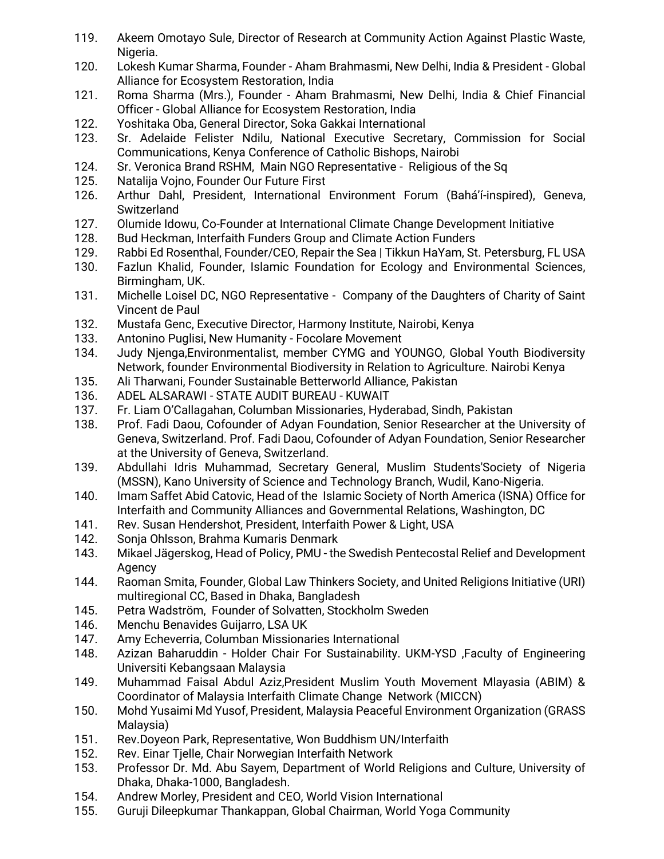- 119. Akeem Omotayo Sule, Director of Research at Community Action Against Plastic Waste, Nigeria.
- 120. Lokesh Kumar Sharma, Founder Aham Brahmasmi, New Delhi, India & President Global Alliance for Ecosystem Restoration, India
- 121. Roma Sharma (Mrs.), Founder Aham Brahmasmi, New Delhi, India & Chief Financial Officer - Global Alliance for Ecosystem Restoration, India
- 122. Yoshitaka Oba, General Director, Soka Gakkai International
- 123. Sr. Adelaide Felister Ndilu, National Executive Secretary, Commission for Social Communications, Kenya Conference of Catholic Bishops, Nairobi
- 124. Sr. Veronica Brand RSHM, Main NGO Representative Religious of the Sq
- 125. Natalija Vojno, Founder Our Future First
- 126. Arthur Dahl, President, International Environment Forum (Bahá'í-inspired), Geneva, Switzerland
- 127. Olumide Idowu, Co-Founder at International Climate Change Development Initiative
- 128. Bud Heckman, Interfaith Funders Group and Climate Action Funders
- 129. Rabbi Ed Rosenthal, Founder/CEO, Repair the Sea | Tikkun HaYam, St. Petersburg, FL USA
- 130. Fazlun Khalid, Founder, Islamic Foundation for Ecology and Environmental Sciences, Birmingham, UK.
- 131. Michelle Loisel DC, NGO Representative Company of the Daughters of Charity of Saint Vincent de Paul
- 132. Mustafa Genc, Executive Director, Harmony Institute, Nairobi, Kenya
- 133. Antonino Puglisi, New Humanity Focolare Movement
- 134. Judy Njenga,Environmentalist, member CYMG and YOUNGO, Global Youth Biodiversity Network, founder Environmental Biodiversity in Relation to Agriculture. Nairobi Kenya
- 135. Ali Tharwani, Founder Sustainable Betterworld Alliance, Pakistan
- 136. ADEL ALSARAWI STATE AUDIT BUREAU KUWAIT
- 137. Fr. Liam O'Callagahan, Columban Missionaries, Hyderabad, Sindh, Pakistan
- 138. Prof. Fadi Daou, Cofounder of Adyan Foundation, Senior Researcher at the University of Geneva, Switzerland. Prof. Fadi Daou, Cofounder of Adyan Foundation, Senior Researcher at the University of Geneva, Switzerland.
- 139. Abdullahi Idris Muhammad, Secretary General, Muslim Students'Society of Nigeria (MSSN), Kano University of Science and Technology Branch, Wudil, Kano-Nigeria.
- 140. Imam Saffet Abid Catovic, Head of the Islamic Society of North America (ISNA) Office for Interfaith and Community Alliances and Governmental Relations, Washington, DC
- 141. Rev. Susan Hendershot, President, Interfaith Power & Light, USA
- 142. Sonja Ohlsson, Brahma Kumaris Denmark
- 143. Mikael Jägerskog, Head of Policy, PMU the Swedish Pentecostal Relief and Development Agency
- 144. Raoman Smita, Founder, Global Law Thinkers Society, and United Religions Initiative (URI) multiregional CC, Based in Dhaka, Bangladesh
- 145. Petra Wadström, Founder of Solvatten, Stockholm Sweden
- 146. Menchu Benavides Guijarro, LSA UK
- 147. Amy Echeverria, Columban Missionaries International
- 148. Azizan Baharuddin Holder Chair For Sustainability. UKM-YSD ,Faculty of Engineering Universiti Kebangsaan Malaysia
- 149. Muhammad Faisal Abdul Aziz,President Muslim Youth Movement Mlayasia (ABIM) & Coordinator of Malaysia Interfaith Climate Change Network (MICCN)
- 150. Mohd Yusaimi Md Yusof, President, Malaysia Peaceful Environment Organization (GRASS Malaysia)
- 151. Rev.Doyeon Park, Representative, Won Buddhism UN/Interfaith
- 152. Rev. Einar Tjelle, Chair Norwegian Interfaith Network
- 153. Professor Dr. Md. Abu Sayem, Department of World Religions and Culture, University of Dhaka, Dhaka-1000, Bangladesh.
- 154. Andrew Morley, President and CEO, World Vision International
- 155. Guruji Dileepkumar Thankappan, Global Chairman, World Yoga Community